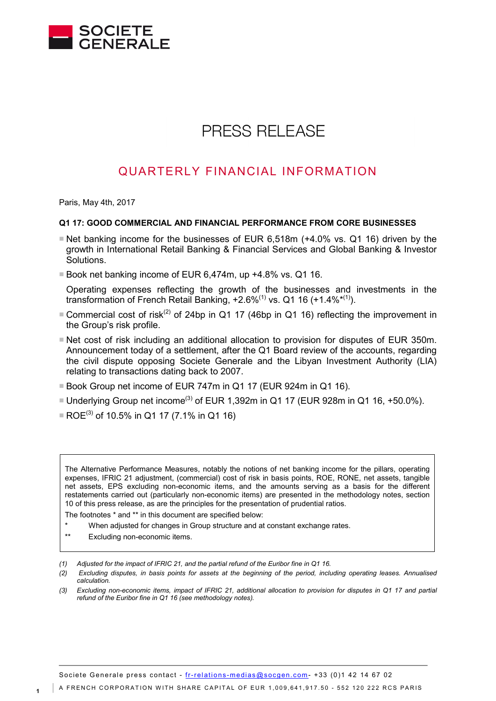

# **PRESS RELEASE**

# QUARTERLY FINANCIAL INFORMATION

Paris, May 4th, 2017

#### **Q1 17: GOOD COMMERCIAL AND FINANCIAL PERFORMANCE FROM CORE BUSINESSES**

- $\blacksquare$  Net banking income for the businesses of EUR 6,518m (+4.0% vs. Q1 16) driven by the growth in International Retail Banking & Financial Services and Global Banking & Investor Solutions.
- Book net banking income of EUR 6,474m, up +4.8% vs. Q1 16.
- Operating expenses reflecting the growth of the businesses and investments in the transformation of French Retail Banking,  $+2.6\%^{(1)}$  vs. Q1 16 ( $+1.4\%^{*(1)}$ ).
- Commercial cost of risk<sup>(2)</sup> of 24bp in Q1 17 (46bp in Q1 16) reflecting the improvement in the Group's risk profile.
- Net cost of risk including an additional allocation to provision for disputes of EUR 350m. Announcement today of a settlement, after the Q1 Board review of the accounts, regarding the civil dispute opposing Societe Generale and the Libyan Investment Authority (LIA) relating to transactions dating back to 2007.
- Book Group net income of EUR 747m in Q1 17 (EUR 924m in Q1 16).
- Underlying Group net income<sup>(3)</sup> of EUR 1,392m in Q1 17 (EUR 928m in Q1 16, +50.0%).
- ROE<sup>(3)</sup> of 10.5% in Q1 17 (7.1% in Q1 16)

The Alternative Performance Measures, notably the notions of net banking income for the pillars, operating expenses, IFRIC 21 adjustment, (commercial) cost of risk in basis points, ROE, RONE, net assets, tangible net assets, EPS excluding non-economic items, and the amounts serving as a basis for the different restatements carried out (particularly non-economic items) are presented in the methodology notes, section 10 of this press release, as are the principles for the presentation of prudential ratios.

The footnotes \* and \*\* in this document are specified below:

- When adjusted for changes in Group structure and at constant exchange rates.
- \*\* Excluding non-economic items.

- *(1) Adjusted for the impact of IFRIC 21, and the partial refund of the Euribor fine in Q1 16.*
- *(2) Excluding disputes, in basis points for assets at the beginning of the period, including operating leases. Annualised calculation.*
- *(3) Excluding non-economic items, impact of IFRIC 21, additional allocation to provision for disputes in Q1 17 and partial refund of the Euribor fine in Q1 16 (see methodology notes).*

Societe Generale press contact - fr-relations [-medias@socgen.com-](mailto:fr-relations-medias@socgen.com) +33 (0)1 42 14 67 02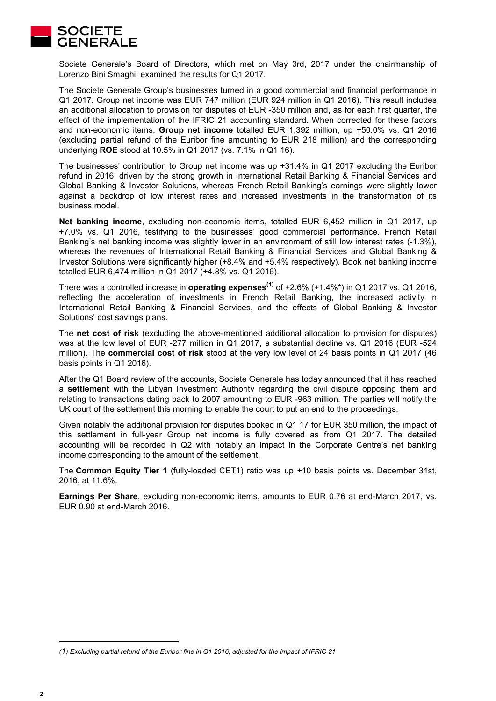

Societe Generale's Board of Directors, which met on May 3rd, 2017 under the chairmanship of Lorenzo Bini Smaghi, examined the results for Q1 2017.

The Societe Generale Group's businesses turned in a good commercial and financial performance in Q1 2017. Group net income was EUR 747 million (EUR 924 million in Q1 2016). This result includes an additional allocation to provision for disputes of EUR -350 million and, as for each first quarter, the effect of the implementation of the IFRIC 21 accounting standard. When corrected for these factors and non-economic items, **Group net income** totalled EUR 1,392 million, up +50.0% vs. Q1 2016 (excluding partial refund of the Euribor fine amounting to EUR 218 million) and the corresponding underlying **ROE** stood at 10.5% in Q1 2017 (vs. 7.1% in Q1 16).

The businesses' contribution to Group net income was up +31.4% in Q1 2017 excluding the Euribor refund in 2016, driven by the strong growth in International Retail Banking & Financial Services and Global Banking & Investor Solutions, whereas French Retail Banking's earnings were slightly lower against a backdrop of low interest rates and increased investments in the transformation of its business model.

**Net banking income**, excluding non-economic items, totalled EUR 6,452 million in Q1 2017, up +7.0% vs. Q1 2016, testifying to the businesses' good commercial performance. French Retail Banking's net banking income was slightly lower in an environment of still low interest rates (-1.3%), whereas the revenues of International Retail Banking & Financial Services and Global Banking & Investor Solutions were significantly higher (+8.4% and +5.4% respectively). Book net banking income totalled EUR 6,474 million in Q1 2017 (+4.8% vs. Q1 2016).

There was a controlled increase in **operating expenses([1](#page-1-0))** of +2.6% (+1.4%\*) in Q1 2017 vs. Q1 2016, reflecting the acceleration of investments in French Retail Banking, the increased activity in International Retail Banking & Financial Services, and the effects of Global Banking & Investor Solutions' cost savings plans.

The **net cost of risk** (excluding the above-mentioned additional allocation to provision for disputes) was at the low level of EUR -277 million in Q1 2017, a substantial decline vs. Q1 2016 (EUR -524 million). The **commercial cost of risk** stood at the very low level of 24 basis points in Q1 2017 (46 basis points in Q1 2016).

After the Q1 Board review of the accounts, Societe Generale has today announced that it has reached a **settlement** with the Libyan Investment Authority regarding the civil dispute opposing them and relating to transactions dating back to 2007 amounting to EUR -963 million. The parties will notify the UK court of the settlement this morning to enable the court to put an end to the proceedings.

Given notably the additional provision for disputes booked in Q1 17 for EUR 350 million, the impact of this settlement in full-year Group net income is fully covered as from Q1 2017. The detailed accounting will be recorded in Q2 with notably an impact in the Corporate Centre's net banking income corresponding to the amount of the settlement.

The **Common Equity Tier 1** (fully-loaded CET1) ratio was up +10 basis points vs. December 31st, 2016, at 11.6%.

**Earnings Per Share**, excluding non-economic items, amounts to EUR 0.76 at end-March 2017, vs. EUR 0.90 at end-March 2016.

-

<span id="page-1-0"></span>*<sup>(1)</sup> Excluding partial refund of the Euribor fine in Q1 2016, adjusted for the impact of IFRIC 21*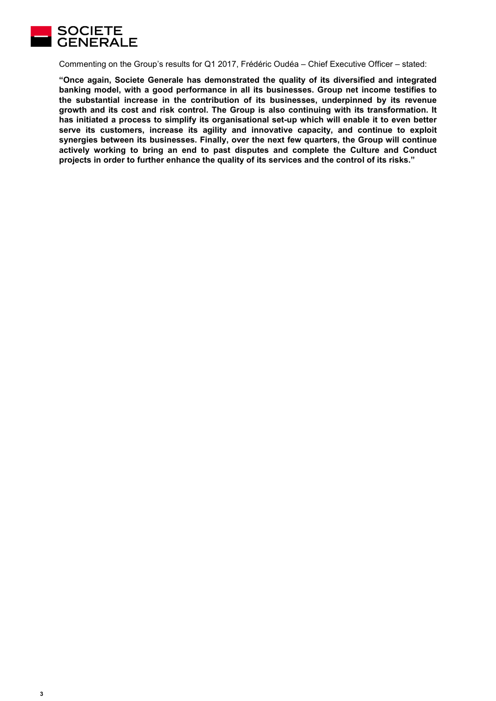

Commenting on the Group's results for Q1 2017, Frédéric Oudéa – Chief Executive Officer – stated:

**"Once again, Societe Generale has demonstrated the quality of its diversified and integrated banking model, with a good performance in all its businesses. Group net income testifies to the substantial increase in the contribution of its businesses, underpinned by its revenue growth and its cost and risk control. The Group is also continuing with its transformation. It has initiated a process to simplify its organisational set-up which will enable it to even better serve its customers, increase its agility and innovative capacity, and continue to exploit synergies between its businesses. Finally, over the next few quarters, the Group will continue actively working to bring an end to past disputes and complete the Culture and Conduct projects in order to further enhance the quality of its services and the control of its risks."**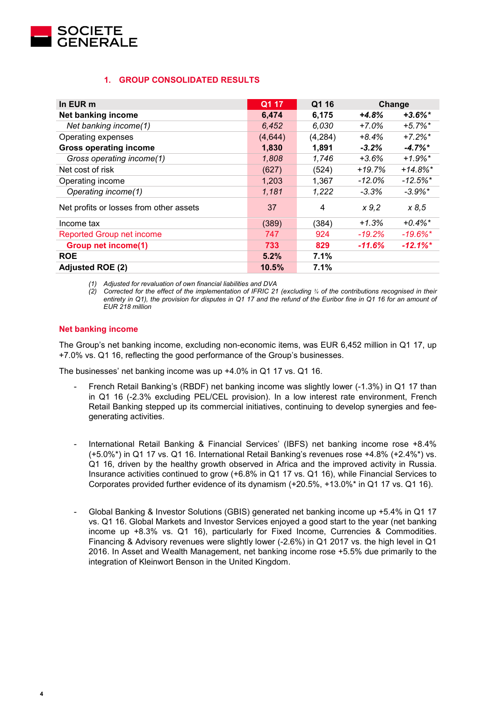

# **1. GROUP CONSOLIDATED RESULTS**

| In EUR m                                | Q1 17   | Q1 16   |           | Change                 |
|-----------------------------------------|---------|---------|-----------|------------------------|
| Net banking income                      | 6,474   | 6,175   | $+4.8%$   | $+3.6\%$ *             |
| Net banking income(1)                   | 6,452   | 6,030   | $+7.0\%$  | $+5.7\%$ *             |
| Operating expenses                      | (4,644) | (4,284) | $+8.4%$   | $+7.2\%$ *             |
| <b>Gross operating income</b>           | 1,830   | 1,891   | $-3.2\%$  | $-4.7\%$ <sup>*</sup>  |
| Gross operating income(1)               | 1,808   | 1,746   | $+3.6%$   | $+1.9\%$ <sup>*</sup>  |
| Net cost of risk                        | (627)   | (524)   | $+19.7%$  | $+14.8\%$ <sup>*</sup> |
| Operating income                        | 1,203   | 1,367   | $-12.0\%$ | $-12.5\%$ <sup>*</sup> |
| Operating income(1)                     | 1,181   | 1,222   | $-3.3\%$  | $-3.9\%$ *             |
| Net profits or losses from other assets | 37      | 4       | x 9,2     | x 8,5                  |
| Income tax                              | (389)   | (384)   | $+1.3%$   | $+0.4\%$ <sup>*</sup>  |
| <b>Reported Group net income</b>        | 747     | 924     | $-19.2%$  | $-19.6\%$ <sup>*</sup> |
| <b>Group net income(1)</b>              | 733     | 829     | $-11.6%$  | $-12.1\%$ <sup>*</sup> |
| <b>ROE</b>                              | 5.2%    | 7.1%    |           |                        |
| <b>Adjusted ROE (2)</b>                 | 10.5%   | 7.1%    |           |                        |

*(1) Adjusted for revaluation of own financial liabilities and DVA*

*(2) Corrected for the effect of the implementation of IFRIC 21 (excluding ¾ of the contributions recognised in their*  entirety in Q1), the provision for disputes in Q1 17 and the refund of the Euribor fine in Q1 16 for an amount of *EUR 218 million*

# **Net banking income**

The Group's net banking income, excluding non-economic items, was EUR 6,452 million in Q1 17, up +7.0% vs. Q1 16, reflecting the good performance of the Group's businesses.

The businesses' net banking income was up +4.0% in Q1 17 vs. Q1 16.

- French Retail Banking's (RBDF) net banking income was slightly lower (-1.3%) in Q1 17 than in Q1 16 (-2.3% excluding PEL/CEL provision). In a low interest rate environment, French Retail Banking stepped up its commercial initiatives, continuing to develop synergies and feegenerating activities.
- International Retail Banking & Financial Services' (IBFS) net banking income rose +8.4% (+5.0%\*) in Q1 17 vs. Q1 16. International Retail Banking's revenues rose +4.8% (+2.4%\*) vs. Q1 16, driven by the healthy growth observed in Africa and the improved activity in Russia. Insurance activities continued to grow (+6.8% in Q1 17 vs. Q1 16), while Financial Services to Corporates provided further evidence of its dynamism (+20.5%, +13.0%\* in Q1 17 vs. Q1 16).
- Global Banking & Investor Solutions (GBIS) generated net banking income up +5.4% in Q1 17 vs. Q1 16. Global Markets and Investor Services enjoyed a good start to the year (net banking income up +8.3% vs. Q1 16), particularly for Fixed Income, Currencies & Commodities. Financing & Advisory revenues were slightly lower (-2.6%) in Q1 2017 vs. the high level in Q1 2016. In Asset and Wealth Management, net banking income rose +5.5% due primarily to the integration of Kleinwort Benson in the United Kingdom.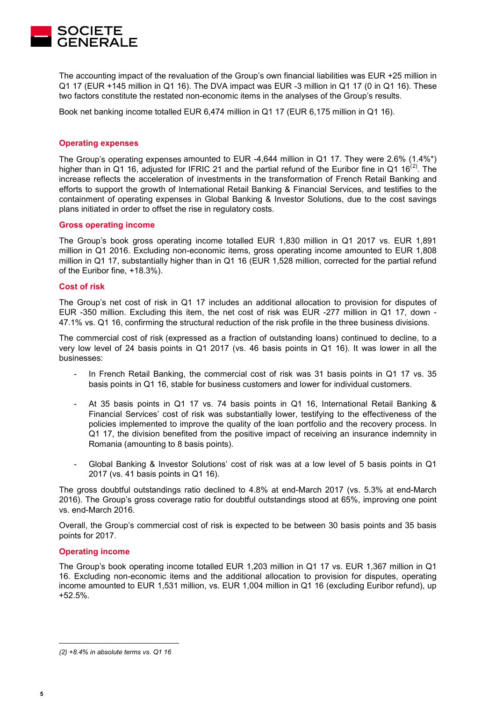

The accounting impact of the revaluation of the Group's own financial liabilities was EUR +25 million in Q1 17 (EUR +145 million in Q1 16). The DVA impact was EUR -3 million in Q1 17 (0 in Q1 16). These two factors constitute the restated non-economic items in the analyses of the Group's results.

Book net banking income totalled EUR 6,474 million in Q1 17 (EUR 6,175 million in Q1 16).

#### **Operating expenses**

The Group's operating expenses amounted to EUR -4,644 million in Q1 17. They were 2.6% (1.4%\*) higher than in Q1 16, adjusted for IFRIC 21 and the partial refund of the Euribor fine in Q1 16<sup>([2\)](#page-4-0)</sup>. The increase reflects the acceleration of investments in the transformation of French Retail Banking and efforts to support the growth of International Retail Banking & Financial Services, and testifies to the containment of operating expenses in Global Banking & Investor Solutions, due to the cost savings plans initiated in order to offset the rise in regulatory costs.

#### **Gross operating income**

The Group's book gross operating income totalled EUR 1,830 million in Q1 2017 vs. EUR 1,891 million in Q1 2016. Excluding non-economic items, gross operating income amounted to EUR 1,808 million in Q1 17, substantially higher than in Q1 16 (EUR 1,528 million, corrected for the partial refund of the Euribor fine, +18.3%).

#### **Cost of risk**

The Group's net cost of risk in Q1 17 includes an additional allocation to provision for disputes of EUR -350 million. Excluding this item, the net cost of risk was EUR -277 million in Q1 17, down - 47.1% vs. Q1 16, confirming the structural reduction of the risk profile in the three business divisions.

The commercial cost of risk (expressed as a fraction of outstanding loans) continued to decline, to a very low level of 24 basis points in Q1 2017 (vs. 46 basis points in Q1 16). It was lower in all the businesses:

- In French Retail Banking, the commercial cost of risk was 31 basis points in Q1 17 vs. 35 basis points in Q1 16, stable for business customers and lower for individual customers.
- At 35 basis points in Q1 17 vs. 74 basis points in Q1 16, International Retail Banking & Financial Services' cost of risk was substantially lower, testifying to the effectiveness of the policies implemented to improve the quality of the loan portfolio and the recovery process. In Q1 17, the division benefited from the positive impact of receiving an insurance indemnity in Romania (amounting to 8 basis points).
- Global Banking & Investor Solutions' cost of risk was at a low level of 5 basis points in Q1 2017 (vs. 41 basis points in Q1 16).

The gross doubtful outstandings ratio declined to 4.8% at end-March 2017 (vs. 5.3% at end-March 2016). The Group's gross coverage ratio for doubtful outstandings stood at 65%, improving one point vs. end-March 2016.

Overall, the Group's commercial cost of risk is expected to be between 30 basis points and 35 basis points for 2017.

#### **Operating income**

The Group's book operating income totalled EUR 1,203 million in Q1 17 vs. EUR 1,367 million in Q1 16. Excluding non-economic items and the additional allocation to provision for disputes, operating income amounted to EUR 1,531 million, vs. EUR 1,004 million in Q1 16 (excluding Euribor refund), up +52.5%.

-

<span id="page-4-0"></span>*<sup>(2) +8.4%</sup> in absolute terms vs. Q1 16*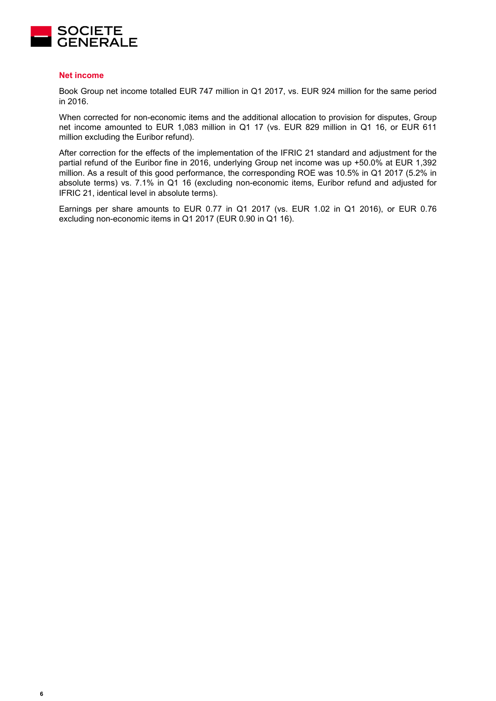

#### **Net income**

Book Group net income totalled EUR 747 million in Q1 2017, vs. EUR 924 million for the same period in 2016.

When corrected for non-economic items and the additional allocation to provision for disputes, Group net income amounted to EUR 1,083 million in Q1 17 (vs. EUR 829 million in Q1 16, or EUR 611 million excluding the Euribor refund).

After correction for the effects of the implementation of the IFRIC 21 standard and adjustment for the partial refund of the Euribor fine in 2016, underlying Group net income was up +50.0% at EUR 1,392 million. As a result of this good performance, the corresponding ROE was 10.5% in Q1 2017 (5.2% in absolute terms) vs. 7.1% in Q1 16 (excluding non-economic items, Euribor refund and adjusted for IFRIC 21, identical level in absolute terms).

Earnings per share amounts to EUR 0.77 in Q1 2017 (vs. EUR 1.02 in Q1 2016), or EUR 0.76 excluding non-economic items in Q1 2017 (EUR 0.90 in Q1 16).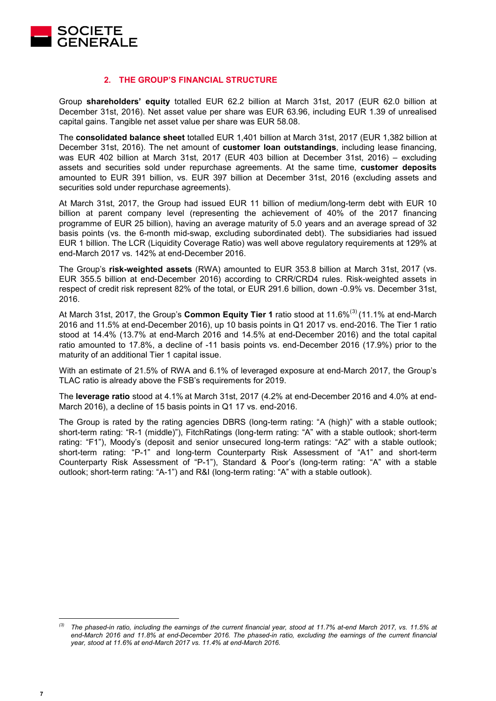

### **2. THE GROUP'S FINANCIAL STRUCTURE**

Group **shareholders' equity** totalled EUR 62.2 billion at March 31st, 2017 (EUR 62.0 billion at December 31st, 2016). Net asset value per share was EUR 63.96, including EUR 1.39 of unrealised capital gains. Tangible net asset value per share was EUR 58.08.

The **consolidated balance sheet** totalled EUR 1,401 billion at March 31st, 2017 (EUR 1,382 billion at December 31st, 2016). The net amount of **customer loan outstandings**, including lease financing, was EUR 402 billion at March 31st, 2017 (EUR 403 billion at December 31st, 2016) – excluding assets and securities sold under repurchase agreements. At the same time, **customer deposits** amounted to EUR 391 billion, vs. EUR 397 billion at December 31st, 2016 (excluding assets and securities sold under repurchase agreements).

At March 31st, 2017, the Group had issued EUR 11 billion of medium/long-term debt with EUR 10 billion at parent company level (representing the achievement of 40% of the 2017 financing programme of EUR 25 billion), having an average maturity of 5.0 years and an average spread of 32 basis points (vs. the 6-month mid-swap, excluding subordinated debt). The subsidiaries had issued EUR 1 billion. The LCR (Liquidity Coverage Ratio) was well above regulatory requirements at 129% at end-March 2017 vs. 142% at end-December 2016.

The Group's **risk-weighted assets** (RWA) amounted to EUR 353.8 billion at March 31st, 2017 (vs. EUR 355.5 billion at end-December 2016) according to CRR/CRD4 rules. Risk-weighted assets in respect of credit risk represent 82% of the total, or EUR 291.6 billion, down -0.9% vs. December 31st, 2016.

At March [3](#page-6-0)1st, 2017, the Group's **Common Equity Tier 1** ratio stood at 11.6%<sup>(3)</sup> (11.1% at end-March 2016 and 11.5% at end-December 2016), up 10 basis points in Q1 2017 vs. end-2016. The Tier 1 ratio stood at 14.4% (13.7% at end-March 2016 and 14.5% at end-December 2016) and the total capital ratio amounted to 17.8%, a decline of -11 basis points vs. end-December 2016 (17.9%) prior to the maturity of an additional Tier 1 capital issue.

With an estimate of 21.5% of RWA and 6.1% of leveraged exposure at end-March 2017, the Group's TLAC ratio is already above the FSB's requirements for 2019.

The **leverage ratio** stood at 4.1% at March 31st, 2017 (4.2% at end-December 2016 and 4.0% at end-March 2016), a decline of 15 basis points in Q1 17 vs. end-2016.

The Group is rated by the rating agencies DBRS (long-term rating: "A (high)" with a stable outlook; short-term rating: "R-1 (middle)"), FitchRatings (long-term rating: "A" with a stable outlook; short-term rating: "F1"), Moody's (deposit and senior unsecured long-term ratings: "A2" with a stable outlook; short-term rating: "P-1" and long-term Counterparty Risk Assessment of "A1" and short-term Counterparty Risk Assessment of "P-1"), Standard & Poor's (long-term rating: "A" with a stable outlook; short-term rating: "A-1") and R&I (long-term rating: "A" with a stable outlook).

-

<span id="page-6-0"></span>*<sup>(3)</sup> The phased-in ratio, including the earnings of the current financial year, stood at 11.7% at-end March 2017, vs. 11.5% at end-March 2016 and 11.8% at end-December 2016. The phased-in ratio, excluding the earnings of the current financial year, stood at 11.6% at end-March 2017 vs. 11.4% at end-March 2016.*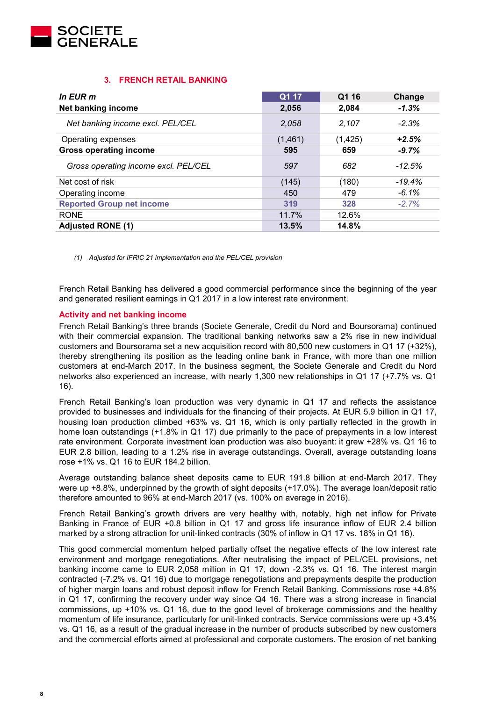

# **3. FRENCH RETAIL BANKING**

| In EUR m                             | $\overline{Q1}$ 17 | Q1 16    | Change   |
|--------------------------------------|--------------------|----------|----------|
| <b>Net banking income</b>            | 2,056              | 2,084    | $-1.3%$  |
| Net banking income excl. PEL/CEL     | 2,058              | 2,107    | $-2.3%$  |
| Operating expenses                   | (1,461)            | (1, 425) | $+2.5%$  |
| <b>Gross operating income</b>        | 595                | 659      | $-9.7%$  |
| Gross operating income excl. PEL/CEL | 597                | 682      | $-12.5%$ |
| Net cost of risk                     | (145)              | (180)    | $-19.4%$ |
| Operating income                     | 450                | 479      | $-6.1%$  |
| <b>Reported Group net income</b>     | 319                | 328      | $-2.7%$  |
| <b>RONE</b>                          | 11.7%              | 12.6%    |          |
| <b>Adjusted RONE (1)</b>             | 13.5%              | 14.8%    |          |

*(1) Adjusted for IFRIC 21 implementation and the PEL/CEL provision*

French Retail Banking has delivered a good commercial performance since the beginning of the year and generated resilient earnings in Q1 2017 in a low interest rate environment.

# **Activity and net banking income**

French Retail Banking's three brands (Societe Generale, Credit du Nord and Boursorama) continued with their commercial expansion. The traditional banking networks saw a 2% rise in new individual customers and Boursorama set a new acquisition record with 80,500 new customers in Q1 17 (+32%), thereby strengthening its position as the leading online bank in France, with more than one million customers at end-March 2017. In the business segment, the Societe Generale and Credit du Nord networks also experienced an increase, with nearly 1,300 new relationships in Q1 17 (+7.7% vs. Q1 16).

French Retail Banking's loan production was very dynamic in Q1 17 and reflects the assistance provided to businesses and individuals for the financing of their projects. At EUR 5.9 billion in Q1 17, housing loan production climbed +63% vs. Q1 16, which is only partially reflected in the growth in home loan outstandings (+1.8% in Q1 17) due primarily to the pace of prepayments in a low interest rate environment. Corporate investment loan production was also buoyant: it grew +28% vs. Q1 16 to EUR 2.8 billion, leading to a 1.2% rise in average outstandings. Overall, average outstanding loans rose +1% vs. Q1 16 to EUR 184.2 billion.

Average outstanding balance sheet deposits came to EUR 191.8 billion at end-March 2017. They were up +8.8%, underpinned by the growth of sight deposits (+17.0%). The average loan/deposit ratio therefore amounted to 96% at end-March 2017 (vs. 100% on average in 2016).

French Retail Banking's growth drivers are very healthy with, notably, high net inflow for Private Banking in France of EUR +0.8 billion in Q1 17 and gross life insurance inflow of EUR 2.4 billion marked by a strong attraction for unit-linked contracts (30% of inflow in Q1 17 vs. 18% in Q1 16).

This good commercial momentum helped partially offset the negative effects of the low interest rate environment and mortgage renegotiations. After neutralising the impact of PEL/CEL provisions, net banking income came to EUR 2,058 million in Q1 17, down -2.3% vs. Q1 16. The interest margin contracted (-7.2% vs. Q1 16) due to mortgage renegotiations and prepayments despite the production of higher margin loans and robust deposit inflow for French Retail Banking. Commissions rose +4.8% in Q1 17, confirming the recovery under way since Q4 16. There was a strong increase in financial commissions, up +10% vs. Q1 16, due to the good level of brokerage commissions and the healthy momentum of life insurance, particularly for unit-linked contracts. Service commissions were up +3.4% vs. Q1 16, as a result of the gradual increase in the number of products subscribed by new customers and the commercial efforts aimed at professional and corporate customers. The erosion of net banking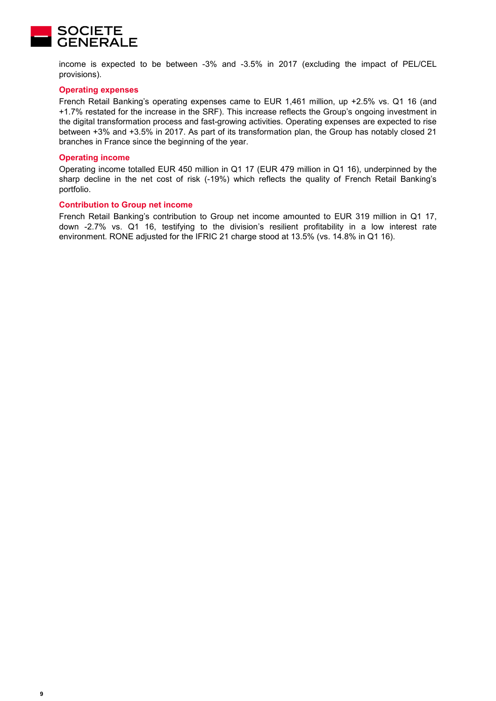

income is expected to be between -3% and -3.5% in 2017 (excluding the impact of PEL/CEL provisions).

#### **Operating expenses**

French Retail Banking's operating expenses came to EUR 1,461 million, up +2.5% vs. Q1 16 (and +1.7% restated for the increase in the SRF). This increase reflects the Group's ongoing investment in the digital transformation process and fast-growing activities. Operating expenses are expected to rise between +3% and +3.5% in 2017. As part of its transformation plan, the Group has notably closed 21 branches in France since the beginning of the year.

#### **Operating income**

Operating income totalled EUR 450 million in Q1 17 (EUR 479 million in Q1 16), underpinned by the sharp decline in the net cost of risk (-19%) which reflects the quality of French Retail Banking's portfolio.

#### **Contribution to Group net income**

French Retail Banking's contribution to Group net income amounted to EUR 319 million in Q1 17, down -2.7% vs. Q1 16, testifying to the division's resilient profitability in a low interest rate environment. RONE adjusted for the IFRIC 21 charge stood at 13.5% (vs. 14.8% in Q1 16).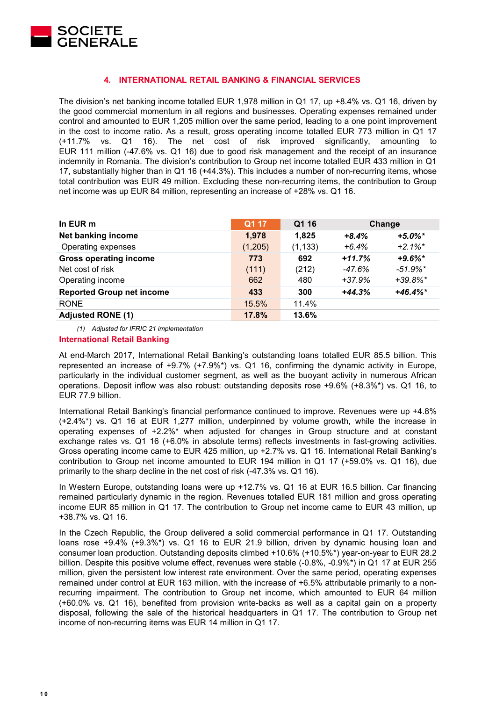

# **4. INTERNATIONAL RETAIL BANKING & FINANCIAL SERVICES**

The division's net banking income totalled EUR 1,978 million in Q1 17, up +8.4% vs. Q1 16, driven by the good commercial momentum in all regions and businesses. Operating expenses remained under control and amounted to EUR 1,205 million over the same period, leading to a one point improvement in the cost to income ratio. As a result, gross operating income totalled EUR 773 million in Q1 17 (+11.7% vs. Q1 16). The net cost of risk improved significantly, amounting to EUR 111 million (-47.6% vs. Q1 16) due to good risk management and the receipt of an insurance indemnity in Romania. The division's contribution to Group net income totalled EUR 433 million in Q1 17, substantially higher than in Q1 16 (+44.3%). This includes a number of non-recurring items, whose total contribution was EUR 49 million. Excluding these non-recurring items, the contribution to Group net income was up EUR 84 million, representing an increase of +28% vs. Q1 16.

| In EUR m                         | Q1 17   | Q1 16    |          | Change                 |
|----------------------------------|---------|----------|----------|------------------------|
| Net banking income               | 1,978   | 1,825    | $+8.4%$  | $+5.0\%$ *             |
| Operating expenses               | (1,205) | (1, 133) | $+6.4%$  | $+2.1\%$ *             |
| <b>Gross operating income</b>    | 773     | 692      | $+11.7%$ | $+9.6\%$ *             |
| Net cost of risk                 | (111)   | (212)    | -47.6%   | $-51.9\%$ <sup>*</sup> |
| Operating income                 | 662     | 480      | $+37.9%$ | $+39.8\%$ *            |
| <b>Reported Group net income</b> | 433     | 300      | $+44.3%$ | $+46.4%$ *             |
| <b>RONE</b>                      | 15.5%   | 11.4%    |          |                        |
| <b>Adjusted RONE (1)</b>         | 17.8%   | 13.6%    |          |                        |

*(1) Adjusted for IFRIC 21 implementation*

#### **International Retail Banking**

At end-March 2017, International Retail Banking's outstanding loans totalled EUR 85.5 billion. This represented an increase of +9.7% (+7.9%\*) vs. Q1 16, confirming the dynamic activity in Europe, particularly in the individual customer segment, as well as the buoyant activity in numerous African operations. Deposit inflow was also robust: outstanding deposits rose +9.6% (+8.3%\*) vs. Q1 16, to EUR 77.9 billion.

International Retail Banking's financial performance continued to improve. Revenues were up +4.8% (+2.4%\*) vs. Q1 16 at EUR 1,277 million, underpinned by volume growth, while the increase in operating expenses of +2.2%\* when adjusted for changes in Group structure and at constant exchange rates vs. Q1 16 (+6.0% in absolute terms) reflects investments in fast-growing activities. Gross operating income came to EUR 425 million, up +2.7% vs. Q1 16. International Retail Banking's contribution to Group net income amounted to EUR 194 million in Q1 17 (+59.0% vs. Q1 16), due primarily to the sharp decline in the net cost of risk (-47.3% vs. Q1 16).

In Western Europe, outstanding loans were up +12.7% vs. Q1 16 at EUR 16.5 billion. Car financing remained particularly dynamic in the region. Revenues totalled EUR 181 million and gross operating income EUR 85 million in Q1 17. The contribution to Group net income came to EUR 43 million, up +38.7% vs. Q1 16.

In the Czech Republic, the Group delivered a solid commercial performance in Q1 17. Outstanding loans rose +9.4% (+9.3%\*) vs. Q1 16 to EUR 21.9 billion, driven by dynamic housing loan and consumer loan production. Outstanding deposits climbed +10.6% (+10.5%\*) year-on-year to EUR 28.2 billion. Despite this positive volume effect, revenues were stable (-0.8%, -0.9%\*) in Q1 17 at EUR 255 million, given the persistent low interest rate environment. Over the same period, operating expenses remained under control at EUR 163 million, with the increase of +6.5% attributable primarily to a nonrecurring impairment. The contribution to Group net income, which amounted to EUR 64 million (+60.0% vs. Q1 16), benefited from provision write-backs as well as a capital gain on a property disposal, following the sale of the historical headquarters in Q1 17. The contribution to Group net income of non-recurring items was EUR 14 million in Q1 17.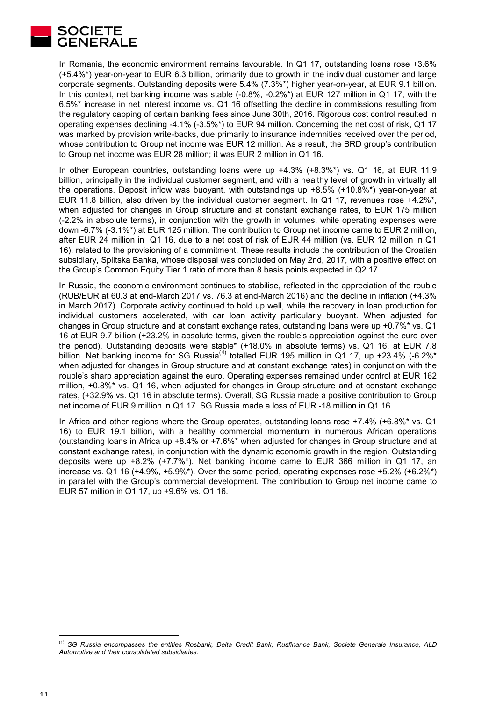

In Romania, the economic environment remains favourable. In Q1 17, outstanding loans rose +3.6% (+5.4%\*) year-on-year to EUR 6.3 billion, primarily due to growth in the individual customer and large corporate segments. Outstanding deposits were 5.4% (7.3%\*) higher year-on-year, at EUR 9.1 billion. In this context, net banking income was stable (-0.8%, -0.2%\*) at EUR 127 million in Q1 17, with the 6.5%\* increase in net interest income vs. Q1 16 offsetting the decline in commissions resulting from the regulatory capping of certain banking fees since June 30th, 2016. Rigorous cost control resulted in operating expenses declining -4.1% (-3.5%\*) to EUR 94 million. Concerning the net cost of risk, Q1 17 was marked by provision write-backs, due primarily to insurance indemnities received over the period, whose contribution to Group net income was EUR 12 million. As a result, the BRD group's contribution to Group net income was EUR 28 million; it was EUR 2 million in Q1 16.

In other European countries, outstanding loans were up +4.3% (+8.3%\*) vs. Q1 16, at EUR 11.9 billion, principally in the individual customer segment, and with a healthy level of growth in virtually all the operations. Deposit inflow was buoyant, with outstandings up +8.5% (+10.8%\*) year-on-year at EUR 11.8 billion, also driven by the individual customer segment. In Q1 17, revenues rose +4.2%\*, when adjusted for changes in Group structure and at constant exchange rates, to EUR 175 million (-2.2% in absolute terms), in conjunction with the growth in volumes, while operating expenses were down -6.7% (-3.1%\*) at EUR 125 million. The contribution to Group net income came to EUR 2 million, after EUR 24 million in Q1 16, due to a net cost of risk of EUR 44 million (vs. EUR 12 million in Q1 16), related to the provisioning of a commitment. These results include the contribution of the Croatian subsidiary, Splitska Banka, whose disposal was concluded on May 2nd, 2017, with a positive effect on the Group's Common Equity Tier 1 ratio of more than 8 basis points expected in Q2 17.

In Russia, the economic environment continues to stabilise, reflected in the appreciation of the rouble (RUB/EUR at 60.3 at end-March 2017 vs. 76.3 at end-March 2016) and the decline in inflation (+4.3% in March 2017). Corporate activity continued to hold up well, while the recovery in loan production for individual customers accelerated, with car loan activity particularly buoyant. When adjusted for changes in Group structure and at constant exchange rates, outstanding loans were up +0.7%\* vs. Q1 16 at EUR 9.7 billion (+23.2% in absolute terms, given the rouble's appreciation against the euro over the period). Outstanding deposits were stable\* (+18.0% in absolute terms) vs. Q1 16, at EUR 7.8 billion. Net banking income for SG Russia<sup>([4\)](#page-10-0)</sup> totalled EUR 195 million in Q1 17, up +23.4% (-6.2%<sup>\*</sup> when adjusted for changes in Group structure and at constant exchange rates) in conjunction with the rouble's sharp appreciation against the euro. Operating expenses remained under control at EUR 162 million, +0.8%\* vs. Q1 16, when adjusted for changes in Group structure and at constant exchange rates, (+32.9% vs. Q1 16 in absolute terms). Overall, SG Russia made a positive contribution to Group net income of EUR 9 million in Q1 17. SG Russia made a loss of EUR -18 million in Q1 16.

In Africa and other regions where the Group operates, outstanding loans rose +7.4% (+6.8%\* vs. Q1) 16) to EUR 19.1 billion, with a healthy commercial momentum in numerous African operations (outstanding loans in Africa up +8.4% or +7.6%\* when adjusted for changes in Group structure and at constant exchange rates), in conjunction with the dynamic economic growth in the region. Outstanding deposits were up +8.2% (+7.7%\*). Net banking income came to EUR 366 million in Q1 17, an increase vs. Q1 16 (+4.9%, +5.9%\*). Over the same period, operating expenses rose +5.2% (+6.2%\*) in parallel with the Group's commercial development. The contribution to Group net income came to EUR 57 million in Q1 17, up +9.6% vs. Q1 16.

-

<span id="page-10-0"></span><sup>(1)</sup> *SG Russia encompasses the entities Rosbank, Delta Credit Bank, Rusfinance Bank, Societe Generale Insurance, ALD Automotive and their consolidated subsidiaries.*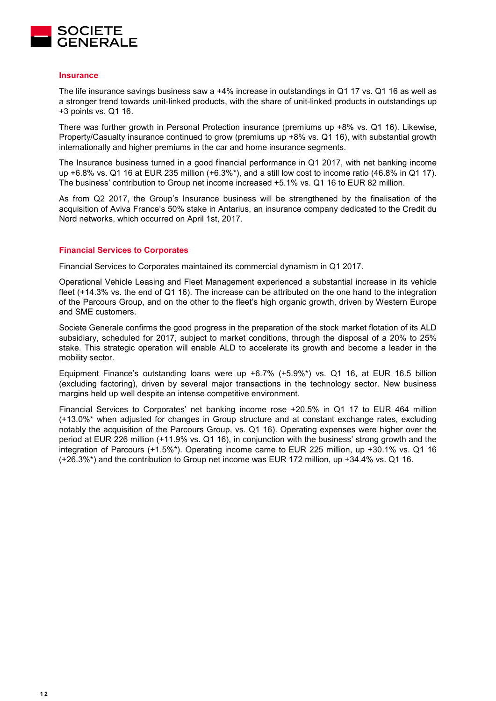

#### **Insurance**

The life insurance savings business saw a +4% increase in outstandings in Q1 17 vs. Q1 16 as well as a stronger trend towards unit-linked products, with the share of unit-linked products in outstandings up +3 points vs. Q1 16.

There was further growth in Personal Protection insurance (premiums up +8% vs. Q1 16). Likewise, Property/Casualty insurance continued to grow (premiums up +8% vs. Q1 16), with substantial growth internationally and higher premiums in the car and home insurance segments.

The Insurance business turned in a good financial performance in Q1 2017, with net banking income up +6.8% vs. Q1 16 at EUR 235 million (+6.3%\*), and a still low cost to income ratio (46.8% in Q1 17). The business' contribution to Group net income increased +5.1% vs. Q1 16 to EUR 82 million.

As from Q2 2017, the Group's Insurance business will be strengthened by the finalisation of the acquisition of Aviva France's 50% stake in Antarius, an insurance company dedicated to the Credit du Nord networks, which occurred on April 1st, 2017.

#### **Financial Services to Corporates**

Financial Services to Corporates maintained its commercial dynamism in Q1 2017.

Operational Vehicle Leasing and Fleet Management experienced a substantial increase in its vehicle fleet (+14.3% vs. the end of Q1 16). The increase can be attributed on the one hand to the integration of the Parcours Group, and on the other to the fleet's high organic growth, driven by Western Europe and SME customers.

Societe Generale confirms the good progress in the preparation of the stock market flotation of its ALD subsidiary, scheduled for 2017, subject to market conditions, through the disposal of a 20% to 25% stake. This strategic operation will enable ALD to accelerate its growth and become a leader in the mobility sector.

Equipment Finance's outstanding loans were up  $+6.7\%$  ( $+5.9\%$ \*) vs. Q1 16, at EUR 16.5 billion (excluding factoring), driven by several major transactions in the technology sector. New business margins held up well despite an intense competitive environment.

Financial Services to Corporates' net banking income rose +20.5% in Q1 17 to EUR 464 million (+13.0%\* when adjusted for changes in Group structure and at constant exchange rates, excluding notably the acquisition of the Parcours Group, vs. Q1 16). Operating expenses were higher over the period at EUR 226 million (+11.9% vs. Q1 16), in conjunction with the business' strong growth and the integration of Parcours (+1.5%\*). Operating income came to EUR 225 million, up +30.1% vs. Q1 16 (+26.3%\*) and the contribution to Group net income was EUR 172 million, up +34.4% vs. Q1 16.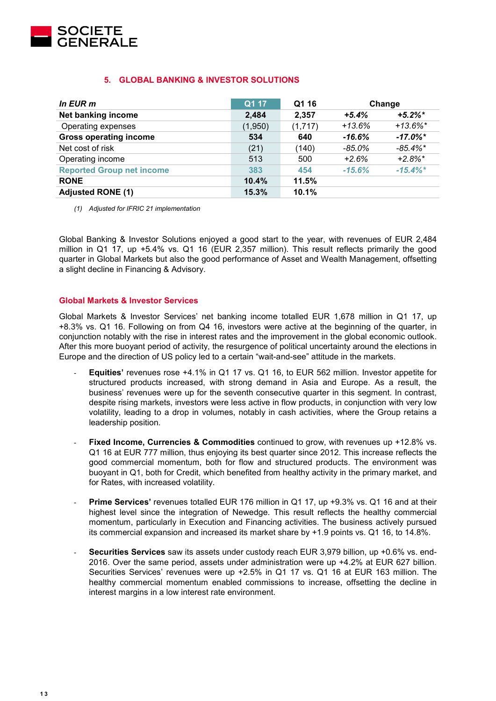

# **5. GLOBAL BANKING & INVESTOR SOLUTIONS**

| In EUR m                         | Q1 17   | Q1 16   |          | Change      |
|----------------------------------|---------|---------|----------|-------------|
| Net banking income               | 2,484   | 2,357   | $+5.4%$  | $+5.2\%$ *  |
| Operating expenses               | (1,950) | (1,717) | $+13.6%$ | $+13.6\%$ * |
| <b>Gross operating income</b>    | 534     | 640     | $-16.6%$ | $-17.0\%$ * |
| Net cost of risk                 | (21)    | (140)   | $-85.0%$ | $-85.4\%$ * |
| Operating income                 | 513     | 500     | $+2.6%$  | $+2.8%$ *   |
| <b>Reported Group net income</b> | 383     | 454     | $-15.6%$ | $-15.4\%$ * |
| <b>RONE</b>                      | 10.4%   | 11.5%   |          |             |
| <b>Adjusted RONE (1)</b>         | 15.3%   | 10.1%   |          |             |

*(1) Adjusted for IFRIC 21 implementation* 

Global Banking & Investor Solutions enjoyed a good start to the year, with revenues of EUR 2,484 million in Q1 17, up +5.4% vs. Q1 16 (EUR 2,357 million). This result reflects primarily the good quarter in Global Markets but also the good performance of Asset and Wealth Management, offsetting a slight decline in Financing & Advisory.

# **Global Markets & Investor Services**

Global Markets & Investor Services' net banking income totalled EUR 1,678 million in Q1 17, up +8.3% vs. Q1 16. Following on from Q4 16, investors were active at the beginning of the quarter, in conjunction notably with the rise in interest rates and the improvement in the global economic outlook. After this more buoyant period of activity, the resurgence of political uncertainty around the elections in Europe and the direction of US policy led to a certain "wait-and-see" attitude in the markets.

- **Equities'** revenues rose +4.1% in Q1 17 vs. Q1 16, to EUR 562 million. Investor appetite for structured products increased, with strong demand in Asia and Europe. As a result, the business' revenues were up for the seventh consecutive quarter in this segment. In contrast, despite rising markets, investors were less active in flow products, in conjunction with very low volatility, leading to a drop in volumes, notably in cash activities, where the Group retains a leadership position.
- **Fixed Income, Currencies & Commodities** continued to grow, with revenues up +12.8% vs. Q1 16 at EUR 777 million, thus enjoying its best quarter since 2012. This increase reflects the good commercial momentum, both for flow and structured products. The environment was buoyant in Q1, both for Credit, which benefited from healthy activity in the primary market, and for Rates, with increased volatility.
- **Prime Services'** revenues totalled EUR 176 million in Q1 17, up +9.3% vs. Q1 16 and at their highest level since the integration of Newedge. This result reflects the healthy commercial momentum, particularly in Execution and Financing activities. The business actively pursued its commercial expansion and increased its market share by +1.9 points vs. Q1 16, to 14.8%.
- **Securities Services** saw its assets under custody reach EUR 3,979 billion, up +0.6% vs. end-2016. Over the same period, assets under administration were up +4.2% at EUR 627 billion. Securities Services' revenues were up +2.5% in Q1 17 vs. Q1 16 at EUR 163 million. The healthy commercial momentum enabled commissions to increase, offsetting the decline in interest margins in a low interest rate environment.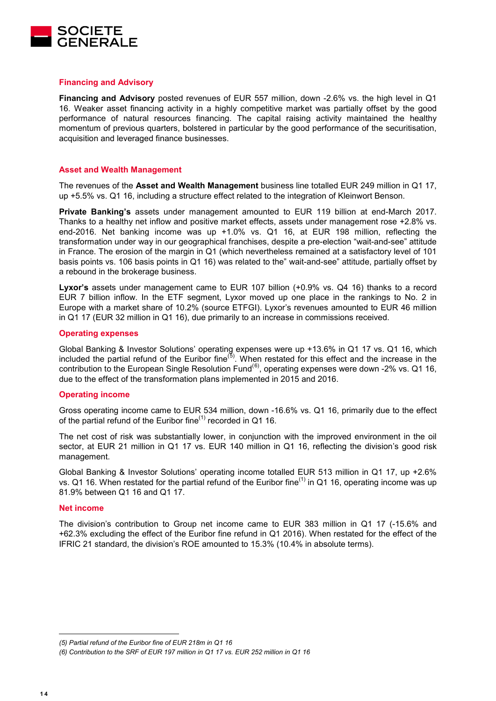

#### **Financing and Advisory**

**Financing and Advisory** posted revenues of EUR 557 million, down -2.6% vs. the high level in Q1 16. Weaker asset financing activity in a highly competitive market was partially offset by the good performance of natural resources financing. The capital raising activity maintained the healthy momentum of previous quarters, bolstered in particular by the good performance of the securitisation, acquisition and leveraged finance businesses.

#### **Asset and Wealth Management**

The revenues of the **Asset and Wealth Management** business line totalled EUR 249 million in Q1 17, up +5.5% vs. Q1 16, including a structure effect related to the integration of Kleinwort Benson.

**Private Banking's** assets under management amounted to EUR 119 billion at end-March 2017. Thanks to a healthy net inflow and positive market effects, assets under management rose +2.8% vs. end-2016. Net banking income was up +1.0% vs. Q1 16, at EUR 198 million, reflecting the transformation under way in our geographical franchises, despite a pre-election "wait-and-see" attitude in France. The erosion of the margin in Q1 (which nevertheless remained at a satisfactory level of 101 basis points vs. 106 basis points in Q1 16) was related to the" wait-and-see" attitude, partially offset by a rebound in the brokerage business.

**Lyxor's** assets under management came to EUR 107 billion (+0.9% vs. Q4 16) thanks to a record EUR 7 billion inflow. In the ETF segment, Lyxor moved up one place in the rankings to No. 2 in Europe with a market share of 10.2% (source ETFGI). Lyxor's revenues amounted to EUR 46 million in Q1 17 (EUR 32 million in Q1 16), due primarily to an increase in commissions received.

#### **Operating expenses**

Global Banking & Investor Solutions' operating expenses were up +13.6% in Q1 17 vs. Q1 16, which included the partial refund of the Euribor fine<sup>([5\)](#page-13-0)</sup>. When restated for this effect and the increase in the contribution to the European Single Resolution Fund<sup>([6](#page-13-1))</sup>, operating expenses were down -2% vs. Q1 16, due to the effect of the transformation plans implemented in 2015 and 2016.

#### **Operating income**

Gross operating income came to EUR 534 million, down -16.6% vs. Q1 16, primarily due to the effect of the partial refund of the Euribor fine<sup>(1)</sup> recorded in Q1 16.

The net cost of risk was substantially lower, in conjunction with the improved environment in the oil sector, at EUR 21 million in Q1 17 vs. EUR 140 million in Q1 16, reflecting the division's good risk management.

Global Banking & Investor Solutions' operating income totalled EUR 513 million in Q1 17, up +2.6% vs. Q1 16. When restated for the partial refund of the Euribor fine<sup>(1)</sup> in Q1 16, operating income was up 81.9% between Q1 16 and Q1 17.

#### **Net income**

The division's contribution to Group net income came to EUR 383 million in Q1 17 (-15.6% and +62.3% excluding the effect of the Euribor fine refund in Q1 2016). When restated for the effect of the IFRIC 21 standard, the division's ROE amounted to 15.3% (10.4% in absolute terms).

-

<span id="page-13-0"></span>*<sup>(5)</sup> Partial refund of the Euribor fine of EUR 218m in Q1 16*

<span id="page-13-1"></span>*<sup>(6)</sup> Contribution to the SRF of EUR 197 million in Q1 17 vs. EUR 252 million in Q1 16*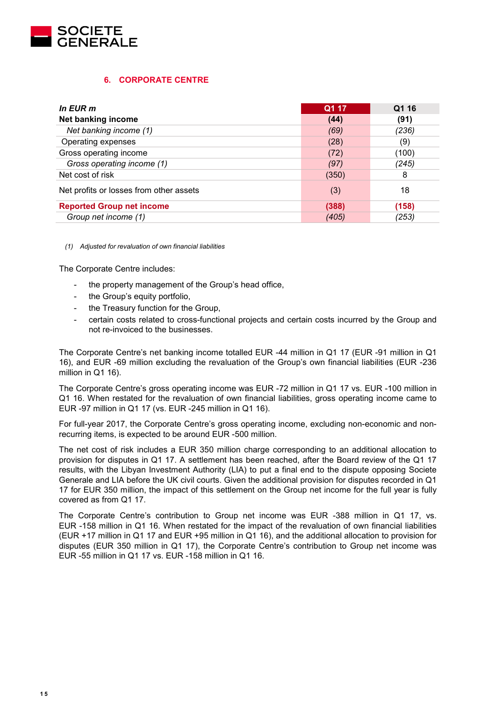

# **6. CORPORATE CENTRE**

| In EUR m                                | Q1 17 | Q1 16 |
|-----------------------------------------|-------|-------|
| Net banking income                      | (44)  | (91)  |
| Net banking income (1)                  | (69)  | (236) |
| Operating expenses                      | (28)  | (9)   |
| Gross operating income                  | (72)  | (100) |
| Gross operating income (1)              | (97)  | (245) |
| Net cost of risk                        | (350) | 8     |
| Net profits or losses from other assets | (3)   | 18    |
| <b>Reported Group net income</b>        | (388) | (158) |
| Group net income (1)                    | (405) | (253) |

*(1) Adjusted for revaluation of own financial liabilities* 

The Corporate Centre includes:

- the property management of the Group's head office,
- the Group's equity portfolio,
- the Treasury function for the Group,
- certain costs related to cross-functional projects and certain costs incurred by the Group and not re-invoiced to the businesses.

The Corporate Centre's net banking income totalled EUR -44 million in Q1 17 (EUR -91 million in Q1 16), and EUR -69 million excluding the revaluation of the Group's own financial liabilities (EUR -236 million in Q1 16).

The Corporate Centre's gross operating income was EUR -72 million in Q1 17 vs. EUR -100 million in Q1 16. When restated for the revaluation of own financial liabilities, gross operating income came to EUR -97 million in Q1 17 (vs. EUR -245 million in Q1 16).

For full-year 2017, the Corporate Centre's gross operating income, excluding non-economic and nonrecurring items, is expected to be around EUR -500 million.

The net cost of risk includes a EUR 350 million charge corresponding to an additional allocation to provision for disputes in Q1 17. A settlement has been reached, after the Board review of the Q1 17 results, with the Libyan Investment Authority (LIA) to put a final end to the dispute opposing Societe Generale and LIA before the UK civil courts. Given the additional provision for disputes recorded in Q1 17 for EUR 350 million, the impact of this settlement on the Group net income for the full year is fully covered as from Q1 17.

The Corporate Centre's contribution to Group net income was EUR -388 million in Q1 17, vs. EUR -158 million in Q1 16. When restated for the impact of the revaluation of own financial liabilities (EUR +17 million in Q1 17 and EUR +95 million in Q1 16), and the additional allocation to provision for disputes (EUR 350 million in Q1 17), the Corporate Centre's contribution to Group net income was EUR -55 million in Q1 17 vs. EUR -158 million in Q1 16.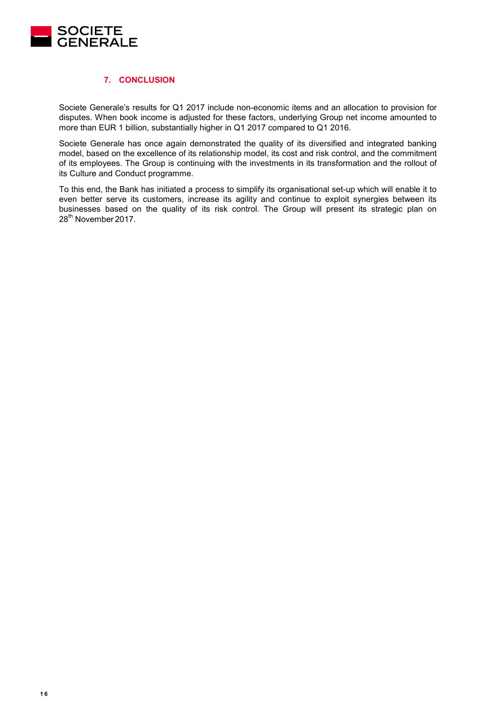

# **7. CONCLUSION**

Societe Generale's results for Q1 2017 include non-economic items and an allocation to provision for disputes. When book income is adjusted for these factors, underlying Group net income amounted to more than EUR 1 billion, substantially higher in Q1 2017 compared to Q1 2016.

Societe Generale has once again demonstrated the quality of its diversified and integrated banking model, based on the excellence of its relationship model, its cost and risk control, and the commitment of its employees. The Group is continuing with the investments in its transformation and the rollout of its Culture and Conduct programme.

To this end, the Bank has initiated a process to simplify its organisational set-up which will enable it to even better serve its customers, increase its agility and continue to exploit synergies between its businesses based on the quality of its risk control. The Group will present its strategic plan on 28<sup>th</sup> November 2017.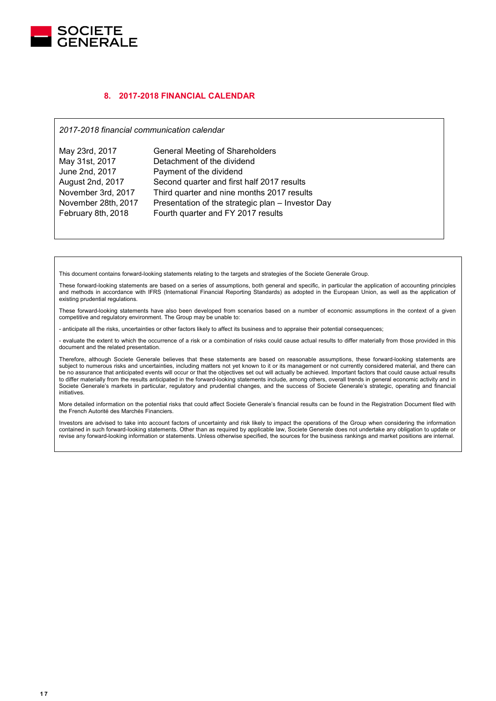

## **8. 2017-2018 FINANCIAL CALENDAR**

*2017-2018 financial communication calendar*

| May 23rd, 2017      | <b>General Meeting of Shareholders</b>            |
|---------------------|---------------------------------------------------|
| May 31st, 2017      | Detachment of the dividend                        |
| June 2nd, 2017      | Payment of the dividend                           |
| August 2nd, 2017    | Second quarter and first half 2017 results        |
| November 3rd, 2017  | Third quarter and nine months 2017 results        |
| November 28th, 2017 | Presentation of the strategic plan - Investor Day |
| February 8th, 2018  | Fourth quarter and FY 2017 results                |

This document contains forward-looking statements relating to the targets and strategies of the Societe Generale Group.

These forward-looking statements are based on a series of assumptions, both general and specific, in particular the application of accounting principles and methods in accordance with IFRS (International Financial Reporting Standards) as adopted in the European Union, as well as the application of existing prudential regulations.

These forward-looking statements have also been developed from scenarios based on a number of economic assumptions in the context of a given competitive and regulatory environment. The Group may be unable to:

- anticipate all the risks, uncertainties or other factors likely to affect its business and to appraise their potential consequences;

- evaluate the extent to which the occurrence of a risk or a combination of risks could cause actual results to differ materially from those provided in this document and the related presentation.

Therefore, although Societe Generale believes that these statements are based on reasonable assumptions, these forward-looking statements are subject to numerous risks and uncertainties, including matters not yet known to it or its management or not currently considered material, and there can be no assurance that anticipated events will occur or that the objectives set out will actually be achieved. Important factors that could cause actual results to differ materially from the results anticipated in the forward-looking statements include, among others, overall trends in general economic activity and in Societe Generale's markets in particular, regulatory and prudential changes, and the success of Societe Generale's strategic, operating and financial initiatives.

More detailed information on the potential risks that could affect Societe Generale's financial results can be found in the Registration Document filed with the French Autorité des Marchés Financiers.

Investors are advised to take into account factors of uncertainty and risk likely to impact the operations of the Group when considering the information contained in such forward-looking statements. Other than as required by applicable law, Societe Generale does not undertake any obligation to update or revise any forward-looking information or statements. Unless otherwise specified, the sources for the business rankings and market positions are internal.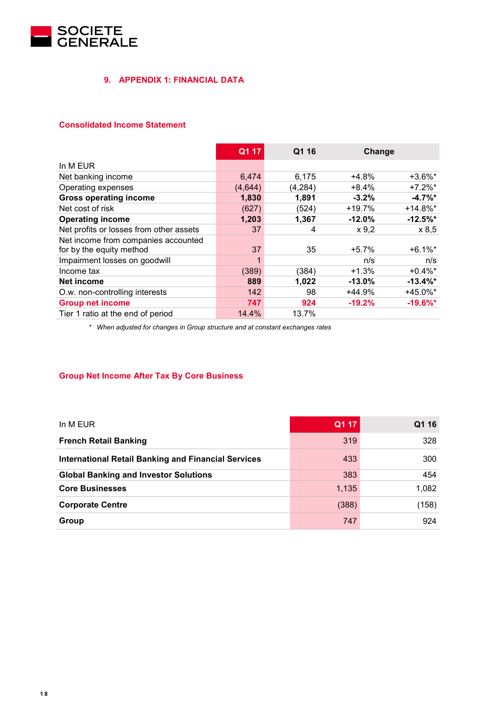

# **9. APPENDIX 1: FINANCIAL DATA**

# **Consolidated Income Statement**

|                                         | Q1 17   | Q1 16    | Change    |             |
|-----------------------------------------|---------|----------|-----------|-------------|
| In M EUR                                |         |          |           |             |
| Net banking income                      | 6,474   | 6,175    | $+4.8%$   | $+3.6\%$ *  |
| Operating expenses                      | (4,644) | (4, 284) | $+8.4%$   | $+7.2\%$ *  |
| <b>Gross operating income</b>           | 1,830   | 1,891    | $-3.2%$   | $-4.7\%$ *  |
| Net cost of risk                        | (627)   | (524)    | $+19.7%$  | $+14.8\%$ * |
| <b>Operating income</b>                 | 1,203   | 1,367    | $-12.0%$  | $-12.5%$ *  |
| Net profits or losses from other assets | 37      | 4        | x 9,2     | x 8,5       |
| Net income from companies accounted     |         |          |           |             |
| for by the equity method                | 37      | 35       | $+5.7%$   | $+6.1\%$ *  |
| Impairment losses on goodwill           |         |          | n/s       | n/s         |
| Income tax                              | (389)   | (384)    | $+1.3%$   | $+0.4\%$ *  |
| Net income                              | 889     | 1,022    | $-13.0\%$ | $-13.4\%$ * |
| O.w. non-controlling interests          | 142     | 98       | +44.9%    | +45.0%*     |
| <b>Group net income</b>                 | 747     | 924      | $-19.2%$  | $-19.6\%$ * |
| Tier 1 ratio at the end of period       | 14.4%   | 13.7%    |           |             |

*\* When adjusted for changes in Group structure and at constant exchanges rates*

# **Group Net Income After Tax By Core Business**

| In M EUR                                                   | Q1 17 | Q1 16 |
|------------------------------------------------------------|-------|-------|
| <b>French Retail Banking</b>                               | 319   | 328   |
| <b>International Retail Banking and Financial Services</b> | 433   | 300   |
| <b>Global Banking and Investor Solutions</b>               | 383   | 454   |
| <b>Core Businesses</b>                                     | 1,135 | 1,082 |
| <b>Corporate Centre</b>                                    | (388) | (158) |
| Group                                                      | 747   | 924   |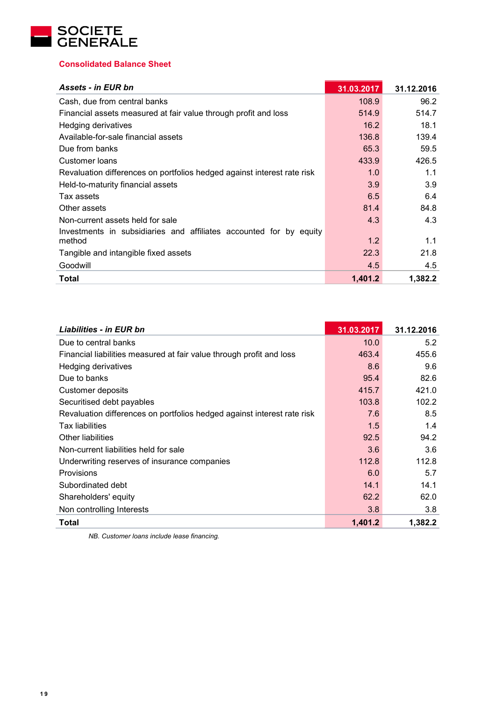

# **Consolidated Balance Sheet**

| <b>Assets - in EUR bn</b>                                               | 31.03.2017 | 31.12.2016 |
|-------------------------------------------------------------------------|------------|------------|
| Cash, due from central banks                                            | 108.9      | 96.2       |
| Financial assets measured at fair value through profit and loss         | 514.9      | 514.7      |
| Hedging derivatives                                                     | 16.2       | 18.1       |
| Available-for-sale financial assets                                     | 136.8      | 139.4      |
| Due from banks                                                          | 65.3       | 59.5       |
| Customer loans                                                          | 433.9      | 426.5      |
| Revaluation differences on portfolios hedged against interest rate risk | 1.0        | 1.1        |
| Held-to-maturity financial assets                                       | 3.9        | 3.9        |
| Tax assets                                                              | 6.5        | 6.4        |
| Other assets                                                            | 81.4       | 84.8       |
| Non-current assets held for sale                                        | 4.3        | 4.3        |
| Investments in subsidiaries and affiliates accounted for by equity      |            |            |
| method                                                                  | 1.2        | 1.1        |
| Tangible and intangible fixed assets                                    | 22.3       | 21.8       |
| Goodwill                                                                | 4.5        | 4.5        |
| <b>Total</b>                                                            | 1,401.2    | 1,382.2    |

| <b>Liabilities - in EUR bn</b>                                          | 31.03.2017 | 31.12.2016 |
|-------------------------------------------------------------------------|------------|------------|
| Due to central banks                                                    | 10.0       | 5.2        |
| Financial liabilities measured at fair value through profit and loss    | 463.4      | 455.6      |
| <b>Hedging derivatives</b>                                              | 8.6        | 9.6        |
| Due to banks                                                            | 95.4       | 82.6       |
| <b>Customer deposits</b>                                                | 415.7      | 421.0      |
| Securitised debt payables                                               | 103.8      | 102.2      |
| Revaluation differences on portfolios hedged against interest rate risk | 7.6        | 8.5        |
| <b>Tax liabilities</b>                                                  | 1.5        | 1.4        |
| Other liabilities                                                       | 92.5       | 94.2       |
| Non-current liabilities held for sale                                   | 3.6        | 3.6        |
| Underwriting reserves of insurance companies                            | 112.8      | 112.8      |
| Provisions                                                              | 6.0        | 5.7        |
| Subordinated debt                                                       | 14.1       | 14.1       |
| Shareholders' equity                                                    | 62.2       | 62.0       |
| Non controlling Interests                                               | 3.8        | 3.8        |
| Total                                                                   | 1,401.2    | 1,382.2    |

*NB. Customer loans include lease financing.*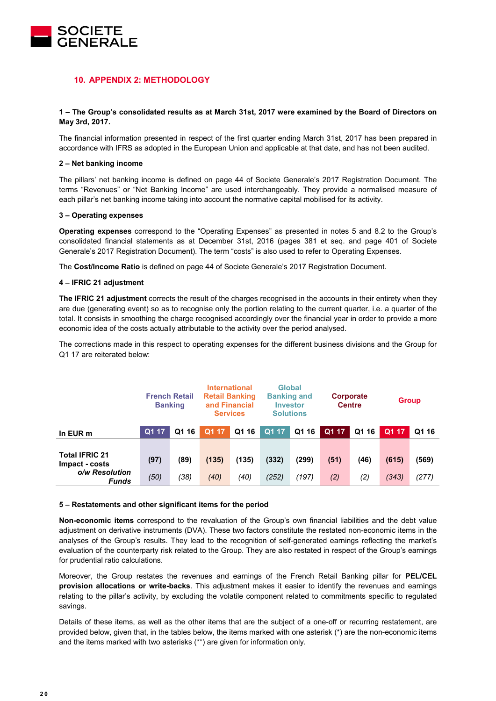

# **10. APPENDIX 2: METHODOLOGY**

#### **1 – The Group's consolidated results as at March 31st, 2017 were examined by the Board of Directors on May 3rd, 2017.**

The financial information presented in respect of the first quarter ending March 31st, 2017 has been prepared in accordance with IFRS as adopted in the European Union and applicable at that date, and has not been audited.

#### **2 – Net banking income**

The pillars' net banking income is defined on page 44 of Societe Generale's 2017 Registration Document. The terms "Revenues" or "Net Banking Income" are used interchangeably. They provide a normalised measure of each pillar's net banking income taking into account the normative capital mobilised for its activity.

#### **3 – Operating expenses**

**Operating expenses** correspond to the "Operating Expenses" as presented in notes 5 and 8.2 to the Group's consolidated financial statements as at December 31st, 2016 (pages 381 et seq. and page 401 of Societe Generale's 2017 Registration Document). The term "costs" is also used to refer to Operating Expenses.

The **Cost/Income Ratio** is defined on page 44 of Societe Generale's 2017 Registration Document.

#### **4 – IFRIC 21 adjustment**

**The IFRIC 21 adjustment** corrects the result of the charges recognised in the accounts in their entirety when they are due (generating event) so as to recognise only the portion relating to the current quarter, i.e. a quarter of the total. It consists in smoothing the charge recognised accordingly over the financial year in order to provide a more economic idea of the costs actually attributable to the activity over the period analysed.

The corrections made in this respect to operating expenses for the different business divisions and the Group for Q1 17 are reiterated below:

|                                                                    |              | <b>International</b><br><b>French Retail</b><br><b>Retail Banking</b><br>and Financial<br><b>Banking</b><br><b>Services</b> |               |               |                | Global<br><b>Banking and</b><br><b>Investor</b><br><b>Solutions</b> |             |             | Corporate<br><b>Centre</b> |                | <b>Group</b> |  |
|--------------------------------------------------------------------|--------------|-----------------------------------------------------------------------------------------------------------------------------|---------------|---------------|----------------|---------------------------------------------------------------------|-------------|-------------|----------------------------|----------------|--------------|--|
| In EUR m                                                           | Q1 17        | Q1 16                                                                                                                       | Q1 17         | Q1 16         | Q1 17          | Q1 16                                                               | Q1 17       | Q1 16       | Q1 17                      | Q1 16          |              |  |
| <b>Total IFRIC 21</b><br>Impact - costs<br>o/w Resolution<br>Funds | (97)<br>(50) | (89)<br>(38)                                                                                                                | (135)<br>(40) | (135)<br>(40) | (332)<br>(252) | (299)<br>(197)                                                      | (51)<br>(2) | (46)<br>(2) | (615)<br>(343)             | (569)<br>(277) |              |  |

#### **5 – Restatements and other significant items for the period**

**Non-economic items** correspond to the revaluation of the Group's own financial liabilities and the debt value adjustment on derivative instruments (DVA). These two factors constitute the restated non-economic items in the analyses of the Group's results. They lead to the recognition of self-generated earnings reflecting the market's evaluation of the counterparty risk related to the Group. They are also restated in respect of the Group's earnings for prudential ratio calculations.

Moreover, the Group restates the revenues and earnings of the French Retail Banking pillar for **PEL/CEL provision allocations or write-backs**. This adjustment makes it easier to identify the revenues and earnings relating to the pillar's activity, by excluding the volatile component related to commitments specific to regulated savings.

Details of these items, as well as the other items that are the subject of a one-off or recurring restatement, are provided below, given that, in the tables below, the items marked with one asterisk (\*) are the non-economic items and the items marked with two asterisks (\*\*) are given for information only.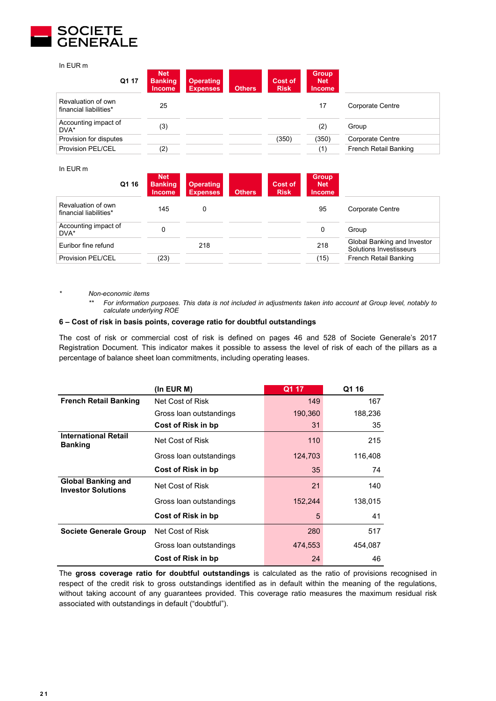

In EUR m

| Q1 17                                        | <b>Net</b><br><b>Banking</b><br><b>Income</b> | <b>Operating</b><br><b>Expenses</b> | <b>Others</b> | Cost of<br><b>Risk</b> | <b>Group</b><br><b>Net</b><br><b>Income</b> |                       |
|----------------------------------------------|-----------------------------------------------|-------------------------------------|---------------|------------------------|---------------------------------------------|-----------------------|
| Revaluation of own<br>financial liabilities* | 25                                            |                                     |               |                        | 17                                          | Corporate Centre      |
| Accounting impact of<br>DVA*                 | (3)                                           |                                     |               |                        | (2)                                         | Group                 |
| Provision for disputes                       |                                               |                                     |               | (350)                  | (350)                                       | Corporate Centre      |
| Provision PEL/CEL                            | (2)                                           |                                     |               |                        | (1)                                         | French Retail Banking |

 $I_n$  EUR  $n$ 

| in EUR m                                     |       |                                               |                                     |               |                        |                                             |                                                        |
|----------------------------------------------|-------|-----------------------------------------------|-------------------------------------|---------------|------------------------|---------------------------------------------|--------------------------------------------------------|
|                                              | Q1 16 | <b>Net</b><br><b>Banking</b><br><b>Income</b> | <b>Operating</b><br><b>Expenses</b> | <b>Others</b> | Cost of<br><b>Risk</b> | <b>Group</b><br><b>Net</b><br><b>Income</b> |                                                        |
| Revaluation of own<br>financial liabilities* |       | 145                                           | 0                                   |               |                        | 95                                          | Corporate Centre                                       |
| Accounting impact of<br>DVA*                 |       | 0                                             |                                     |               |                        | 0                                           | Group                                                  |
| Euribor fine refund                          |       |                                               | 218                                 |               |                        | 218                                         | Global Banking and Investor<br>Solutions Investisseurs |
| <b>Provision PEL/CEL</b>                     |       | (23)                                          |                                     |               |                        | (15)                                        | French Retail Banking                                  |

*\* Non-economic items*

*\*\* For information purposes. This data is not included in adjustments taken into account at Group level, notably to calculate underlying ROE*

#### **6 – Cost of risk in basis points, coverage ratio for doubtful outstandings**

The cost of risk or commercial cost of risk is defined on pages 46 and 528 of Societe Generale's 2017 Registration Document. This indicator makes it possible to assess the level of risk of each of the pillars as a percentage of balance sheet loan commitments, including operating leases.

|                                                        | $($ In EUR M $)$        | Q1 17   | Q1 16   |
|--------------------------------------------------------|-------------------------|---------|---------|
| <b>French Retail Banking</b>                           | Net Cost of Risk        | 149     | 167     |
|                                                        | Gross loan outstandings | 190,360 | 188,236 |
|                                                        | Cost of Risk in bp      | 31      | 35      |
| <b>International Retail</b><br><b>Banking</b>          | Net Cost of Risk        | 110     | 215     |
|                                                        | Gross Ioan outstandings | 124,703 | 116,408 |
|                                                        | Cost of Risk in bp      | 35      | 74      |
| <b>Global Banking and</b><br><b>Investor Solutions</b> | Net Cost of Risk        | 21      | 140     |
|                                                        | Gross Ioan outstandings | 152,244 | 138,015 |
|                                                        | Cost of Risk in bp      | 5       | 41      |
| <b>Societe Generale Group</b>                          | Net Cost of Risk        | 280     | 517     |
|                                                        | Gross Ioan outstandings | 474,553 | 454.087 |
|                                                        | Cost of Risk in bp      | 24      | 46      |

The **gross coverage ratio for doubtful outstandings** is calculated as the ratio of provisions recognised in respect of the credit risk to gross outstandings identified as in default within the meaning of the regulations, without taking account of any guarantees provided. This coverage ratio measures the maximum residual risk associated with outstandings in default ("doubtful").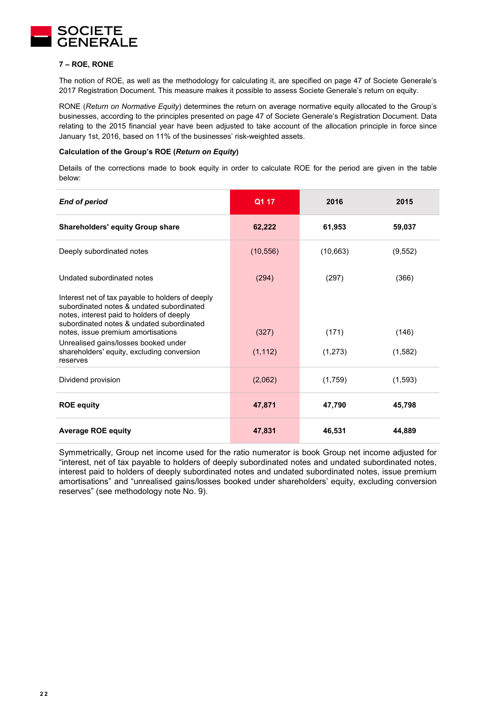

#### **7 – ROE, RONE**

The notion of ROE, as well as the methodology for calculating it, are specified on page 47 of Societe Generale's 2017 Registration Document. This measure makes it possible to assess Societe Generale's return on equity.

RONE (*Return on Normative Equity*) determines the return on average normative equity allocated to the Group's businesses, according to the principles presented on page 47 of Societe Generale's Registration Document. Data relating to the 2015 financial year have been adjusted to take account of the allocation principle in force since January 1st, 2016, based on 11% of the businesses' risk-weighted assets.

#### **Calculation of the Group's ROE (***Return on Equity***)**

Details of the corrections made to book equity in order to calculate ROE for the period are given in the table below:

| <b>End of period</b>                                                                                                                                                                                                          | Q1 17     | 2016      | 2015     |
|-------------------------------------------------------------------------------------------------------------------------------------------------------------------------------------------------------------------------------|-----------|-----------|----------|
| <b>Shareholders' equity Group share</b>                                                                                                                                                                                       | 62,222    | 61,953    | 59,037   |
| Deeply subordinated notes                                                                                                                                                                                                     | (10, 556) | (10, 663) | (9, 552) |
| Undated subordinated notes                                                                                                                                                                                                    | (294)     | (297)     | (366)    |
| Interest net of tax payable to holders of deeply<br>subordinated notes & undated subordinated<br>notes, interest paid to holders of deeply<br>subordinated notes & undated subordinated<br>notes, issue premium amortisations | (327)     | (171)     | (146)    |
| Unrealised gains/losses booked under<br>shareholders' equity, excluding conversion<br>reserves                                                                                                                                | (1, 112)  | (1,273)   | (1,582)  |
| Dividend provision                                                                                                                                                                                                            | (2,062)   | (1,759)   | (1, 593) |
| <b>ROE equity</b>                                                                                                                                                                                                             | 47,871    | 47,790    | 45,798   |
| <b>Average ROE equity</b>                                                                                                                                                                                                     | 47,831    | 46,531    | 44,889   |

Symmetrically, Group net income used for the ratio numerator is book Group net income adjusted for "interest, net of tax payable to holders of deeply subordinated notes and undated subordinated notes, interest paid to holders of deeply subordinated notes and undated subordinated notes, issue premium amortisations" and "unrealised gains/losses booked under shareholders' equity, excluding conversion reserves" (see methodology note No. 9).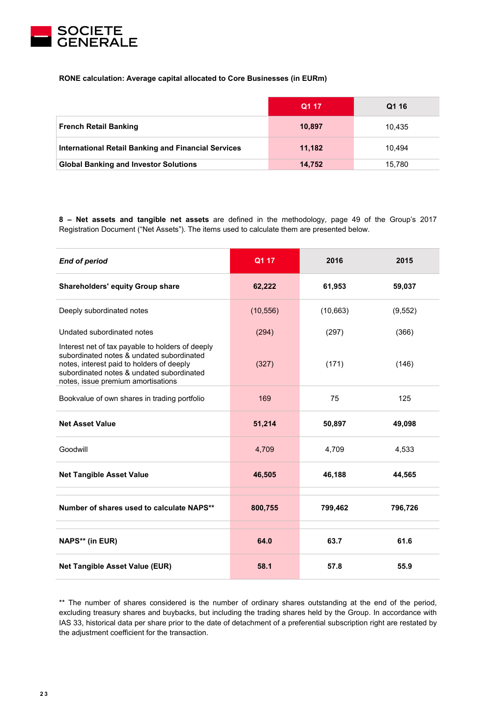

# **RONE calculation: Average capital allocated to Core Businesses (in EURm)**

|                                                            | Q1 17  | Q1 16  |
|------------------------------------------------------------|--------|--------|
| <b>French Retail Banking</b>                               | 10,897 | 10.435 |
| <b>International Retail Banking and Financial Services</b> | 11.182 | 10.494 |
| <b>Global Banking and Investor Solutions</b>               | 14,752 | 15.780 |

**8 – Net assets and tangible net assets** are defined in the methodology, page 49 of the Group's 2017 Registration Document ("Net Assets"). The items used to calculate them are presented below.

| <b>End of period</b>                                                                                                                                                                                                          | Q1 17     | 2016     | 2015     |
|-------------------------------------------------------------------------------------------------------------------------------------------------------------------------------------------------------------------------------|-----------|----------|----------|
| <b>Shareholders' equity Group share</b>                                                                                                                                                                                       | 62,222    | 61,953   | 59,037   |
| Deeply subordinated notes                                                                                                                                                                                                     | (10, 556) | (10,663) | (9, 552) |
| Undated subordinated notes                                                                                                                                                                                                    | (294)     | (297)    | (366)    |
| Interest net of tax payable to holders of deeply<br>subordinated notes & undated subordinated<br>notes, interest paid to holders of deeply<br>subordinated notes & undated subordinated<br>notes, issue premium amortisations | (327)     | (171)    | (146)    |
| Bookvalue of own shares in trading portfolio                                                                                                                                                                                  | 169       | 75       | 125      |
| <b>Net Asset Value</b>                                                                                                                                                                                                        | 51,214    | 50,897   | 49,098   |
| Goodwill                                                                                                                                                                                                                      | 4,709     | 4,709    | 4,533    |
| <b>Net Tangible Asset Value</b>                                                                                                                                                                                               | 46,505    | 46,188   | 44,565   |
| Number of shares used to calculate NAPS**                                                                                                                                                                                     | 800,755   | 799,462  | 796,726  |
| NAPS** (in EUR)                                                                                                                                                                                                               | 64.0      | 63.7     | 61.6     |
| <b>Net Tangible Asset Value (EUR)</b>                                                                                                                                                                                         | 58.1      | 57.8     | 55.9     |

\*\* The number of shares considered is the number of ordinary shares outstanding at the end of the period, excluding treasury shares and buybacks, but including the trading shares held by the Group. In accordance with IAS 33, historical data per share prior to the date of detachment of a preferential subscription right are restated by the adjustment coefficient for the transaction.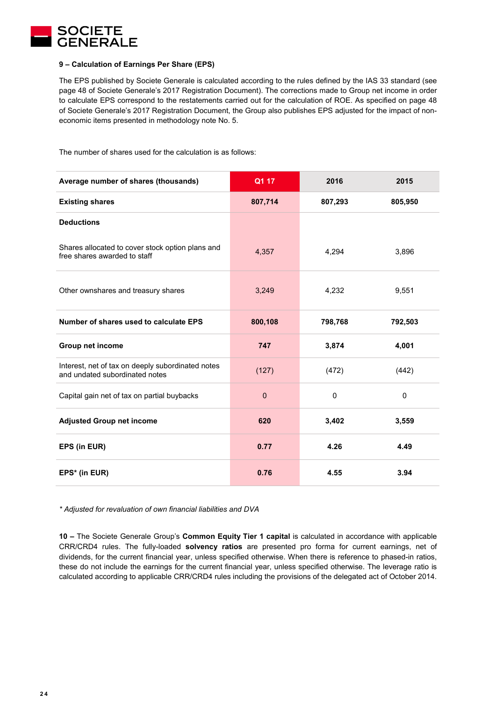

#### **9 – Calculation of Earnings Per Share (EPS)**

The EPS published by Societe Generale is calculated according to the rules defined by the IAS 33 standard (see page 48 of Societe Generale's 2017 Registration Document). The corrections made to Group net income in order to calculate EPS correspond to the restatements carried out for the calculation of ROE. As specified on page 48 of Societe Generale's 2017 Registration Document, the Group also publishes EPS adjusted for the impact of noneconomic items presented in methodology note No. 5.

The number of shares used for the calculation is as follows:

| Average number of shares (thousands)                                                | Q1 17    | 2016    | 2015         |
|-------------------------------------------------------------------------------------|----------|---------|--------------|
| <b>Existing shares</b>                                                              | 807,714  | 807,293 | 805,950      |
| <b>Deductions</b>                                                                   |          |         |              |
| Shares allocated to cover stock option plans and<br>free shares awarded to staff    | 4,357    | 4,294   | 3,896        |
| Other ownshares and treasury shares                                                 | 3,249    | 4,232   | 9,551        |
| Number of shares used to calculate EPS                                              | 800,108  | 798,768 | 792,503      |
| Group net income                                                                    | 747      | 3,874   | 4,001        |
| Interest, net of tax on deeply subordinated notes<br>and undated subordinated notes | (127)    | (472)   | (442)        |
| Capital gain net of tax on partial buybacks                                         | $\Omega$ | 0       | $\mathbf{0}$ |
| <b>Adjusted Group net income</b>                                                    | 620      | 3,402   | 3,559        |
| EPS (in EUR)                                                                        | 0.77     | 4.26    | 4.49         |
| EPS* (in EUR)                                                                       | 0.76     | 4.55    | 3.94         |

*\* Adjusted for revaluation of own financial liabilities and DVA* 

**10 –** The Societe Generale Group's **Common Equity Tier 1 capital** is calculated in accordance with applicable CRR/CRD4 rules. The fully-loaded **solvency ratios** are presented pro forma for current earnings, net of dividends, for the current financial year, unless specified otherwise. When there is reference to phased-in ratios, these do not include the earnings for the current financial year, unless specified otherwise. The leverage ratio is calculated according to applicable CRR/CRD4 rules including the provisions of the delegated act of October 2014.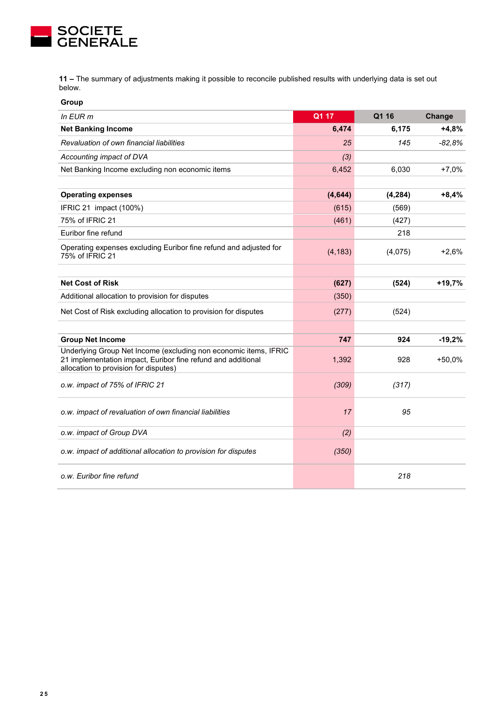

**11 –** The summary of adjustments making it possible to reconcile published results with underlying data is set out below.

| Group                                                                                                                                                                     |          |          |          |
|---------------------------------------------------------------------------------------------------------------------------------------------------------------------------|----------|----------|----------|
| In EUR m                                                                                                                                                                  | Q1 17    | Q1 16    | Change   |
| <b>Net Banking Income</b>                                                                                                                                                 | 6,474    | 6,175    | $+4,8%$  |
| Revaluation of own financial liabilities                                                                                                                                  | 25       | 145      | -82.8%   |
| Accounting impact of DVA                                                                                                                                                  | (3)      |          |          |
| Net Banking Income excluding non economic items                                                                                                                           | 6,452    | 6,030    | $+7,0%$  |
|                                                                                                                                                                           |          |          |          |
| <b>Operating expenses</b>                                                                                                                                                 | (4,644)  | (4, 284) | $+8,4%$  |
| IFRIC 21 impact (100%)                                                                                                                                                    | (615)    | (569)    |          |
| 75% of IFRIC 21                                                                                                                                                           | (461)    | (427)    |          |
| Euribor fine refund                                                                                                                                                       |          | 218      |          |
| Operating expenses excluding Euribor fine refund and adjusted for<br>75% of IFRIC 21                                                                                      | (4, 183) | (4,075)  | $+2,6%$  |
|                                                                                                                                                                           |          |          |          |
| <b>Net Cost of Risk</b>                                                                                                                                                   | (627)    | (524)    | $+19,7%$ |
| Additional allocation to provision for disputes                                                                                                                           | (350)    |          |          |
| Net Cost of Risk excluding allocation to provision for disputes                                                                                                           | (277)    | (524)    |          |
|                                                                                                                                                                           |          |          |          |
| <b>Group Net Income</b>                                                                                                                                                   | 747      | 924      | $-19,2%$ |
| Underlying Group Net Income (excluding non economic items, IFRIC<br>21 implementation impact, Euribor fine refund and additional<br>allocation to provision for disputes) | 1,392    | 928      | $+50,0%$ |
| o.w. impact of 75% of IFRIC 21                                                                                                                                            | (309)    | (317)    |          |
| o.w. impact of revaluation of own financial liabilities                                                                                                                   | 17       | 95       |          |
| o.w. impact of Group DVA                                                                                                                                                  | (2)      |          |          |
| o.w. impact of additional allocation to provision for disputes                                                                                                            | (350)    |          |          |
| o.w. Euribor fine refund                                                                                                                                                  |          | 218      |          |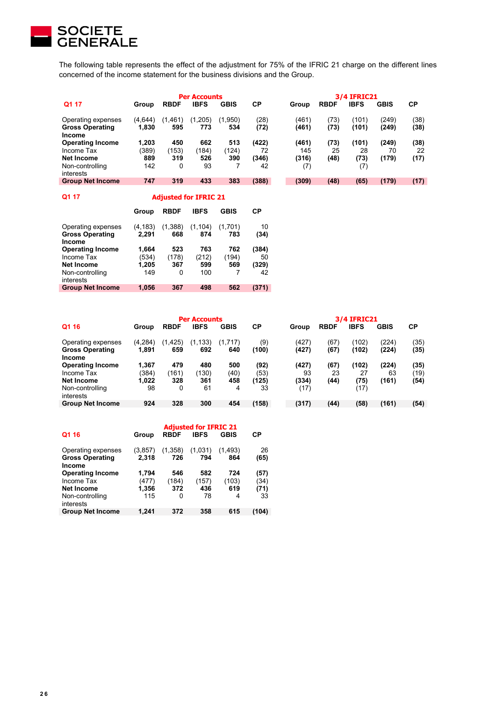

The following table represents the effect of the adjustment for 75% of the IFRIC 21 charge on the different lines concerned of the income statement for the business divisions and the Group.

| <b>Per Accounts</b>                                    |                  |               |                |                |              | <b>3/4 IFRIC21</b> |             |                |                |              |
|--------------------------------------------------------|------------------|---------------|----------------|----------------|--------------|--------------------|-------------|----------------|----------------|--------------|
| Q1 17                                                  | Group            | <b>RBDF</b>   | <b>IBFS</b>    | <b>GBIS</b>    | СP           | Group              | <b>RBDF</b> | <b>IBFS</b>    | <b>GBIS</b>    | <b>CP</b>    |
| Operating expenses<br><b>Gross Operating</b><br>Income | (4,644)<br>1.830 | (1,461<br>595 | (1,205)<br>773 | (1,950)<br>534 | (28)<br>(72) | (461)<br>(461)     | 73)<br>(73) | (101)<br>(101) | (249)<br>(249) | (38)<br>(38) |
| <b>Operating Income</b>                                | 1.203            | 450           | 662            | 513            | (422)        | (461)              | (73)        | (101)          | (249)          | (38)         |
| Income Tax                                             | (389)            | (153)         | (184)          | (124)          | 72           | 145                | 25          | 28             | 70             | 22           |
| Net Income                                             | 889              | 319           | 526            | 390            | (346)        | (316)              | (48)        | (73)           | (179)          | (17)         |
| Non-controlling<br>interests                           | 142              | 0             | 93             |                | 42           | (7)                |             | (7)            |                |              |
| <b>Group Net Income</b>                                | 747              | 319           | 433            | 383            | (388)        | (309)              | (48)        | (65)           | (179)          | (17)         |

| Q1 17                                                  | <b>Adjusted for IFRIC 21</b> |                |                 |                |            |  |  |  |  |
|--------------------------------------------------------|------------------------------|----------------|-----------------|----------------|------------|--|--|--|--|
|                                                        | Group                        | <b>RBDF</b>    | <b>IBFS</b>     | <b>GBIS</b>    | СP         |  |  |  |  |
| Operating expenses<br><b>Gross Operating</b><br>Income | (4, 183)<br>2.291            | (1,388)<br>668 | (1, 104)<br>874 | (1,701)<br>783 | 10<br>(34) |  |  |  |  |
| <b>Operating Income</b>                                | 1,664                        | 523            | 763             | 762            | (384)      |  |  |  |  |
| Income Tax                                             | (534)                        | (178)          | (212)           | (194)          | 50         |  |  |  |  |
| Net Income                                             | 1,205                        | 367            | 599             | 569            | (329)      |  |  |  |  |
| Non-controlling<br>interests                           | 149                          | 0              | 100             |                | 42         |  |  |  |  |
| <b>Group Net Income</b>                                | 1,056                        | 367            | 498             | 562            | (371)      |  |  |  |  |

| <b>Per Accounts</b>                                    |                   |                 |                 |                |              | <b>3/4 IFRIC21</b> |              |                |                |              |
|--------------------------------------------------------|-------------------|-----------------|-----------------|----------------|--------------|--------------------|--------------|----------------|----------------|--------------|
| Q1 16                                                  | Group             | <b>RBDF</b>     | <b>IBFS</b>     | <b>GBIS</b>    | СP           | Group              | <b>RBDF</b>  | <b>IBFS</b>    | <b>GBIS</b>    | СP           |
| Operating expenses<br><b>Gross Operating</b><br>Income | (4, 284)<br>1.891 | (1, 425)<br>659 | (1, 133)<br>692 | (1.717)<br>640 | (9)<br>(100) | (427)<br>(427)     | (67)<br>(67) | (102)<br>(102) | (224)<br>(224) | (35)<br>(35) |
| <b>Operating Income</b>                                | 1.367             | 479             | 480             | 500            | (92)         | (427)              | (67)         | <b>102)</b>    | (224)          | (35)         |
| Income Tax                                             | (384)             | (161)           | (130)           | (40)           | (53)         | 93                 | 23           | 27             | 63             | (19)         |
| Net Income                                             | 1.022             | 328             | 361             | 458            | (125)        | (334)              | (44)         | (75)           | (161)          | (54)         |
| Non-controlling<br>interests                           | 98                | 0               | 61              | 4              | 33           | (17)               |              | (17)           |                |              |
| <b>Group Net Income</b>                                | 924               | 328             | 300             | 454            | (158)        | (317)              | (44)         | (58)           | (161)          | (54)         |

|                                                               | <b>Adjusted for IFRIC 21</b> |                |                |                |              |  |  |
|---------------------------------------------------------------|------------------------------|----------------|----------------|----------------|--------------|--|--|
| Q1 16                                                         | Group                        | <b>RBDF</b>    | <b>IBFS</b>    | <b>GBIS</b>    | СP           |  |  |
| Operating expenses<br><b>Gross Operating</b><br><b>Income</b> | (3, 857)<br>2,318            | (1,358)<br>726 | (1,031)<br>794 | (1.493)<br>864 | 26<br>(65)   |  |  |
| <b>Operating Income</b><br>Income Tax                         | 1,794<br>(477)               | 546<br>(184)   | 582<br>(157)   | 724<br>(103)   | (57)<br>(34) |  |  |
| Net Income<br>Non-controlling<br>interests                    | 1,356<br>115                 | 372<br>0       | 436<br>78      | 619<br>4       | (71)<br>33   |  |  |
| <b>Group Net Income</b>                                       | 1.241                        | 372            | 358            | 615            | (104)        |  |  |